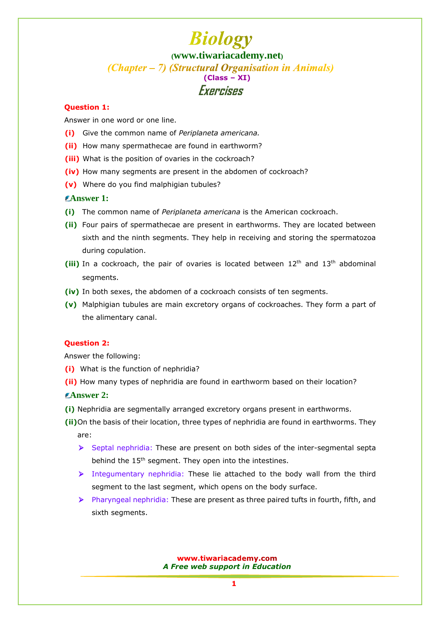### **[Question 1:](www.tiwariacademy.net)**

Answer in one word or one line.

- **(i)** Give the common name of *Periplaneta americana.*
- **(ii)** How many spermathecae are found in earthworm?
- **(iii)** What is the position of ovaries in the cockroach?
- **(iv)** How many segments are present in the abdomen of cockroach?
- **(v)** Where do you find malphigian tubules?

### **Answer 1:**

- **(i)** The common name of *Periplaneta americana* is the American cockroach.
- **(ii)** Four pairs of spermathecae are present in earthworms. They are located between sixth and the ninth segments. They help in receiving and storing the spermatozoa during copulation.
- (iii) In a cockroach, the pair of ovaries is located between 12<sup>th</sup> and 13<sup>th</sup> abdominal segments.
- **(iv)** In both sexes, the abdomen of a cockroach consists of ten segments.
- **(v)** Malphigian tubules are main excretory organs of cockroaches. They form a part of the alimentary canal.

#### **Question 2:**

Answer the following:

- **(i)** What is the function of nephridia?
- **(ii)** [How many types of nephridia are found in earthworm based on their location?](www.tiwariacademy.net)

#### **Answer 2:**

- **(i)** Nephridia are segmentally arranged excretory organs present in earthworms.
- **(ii)**On the basis of their location, three types of nephridia are found in earthworms. They are:
	- $\triangleright$  Septal nephridia: These are present on both sides of the inter-segmental septa behind the 15<sup>th</sup> segment. They open into the intestines.
	- $\triangleright$  Integumentary nephridia: These lie attached to the body wall from the third segment to the last segment, which opens on the body surface.
	- $\triangleright$  Pharyngeal nephridia: These are present as three paired tufts in fourth, fifth, and sixth segments.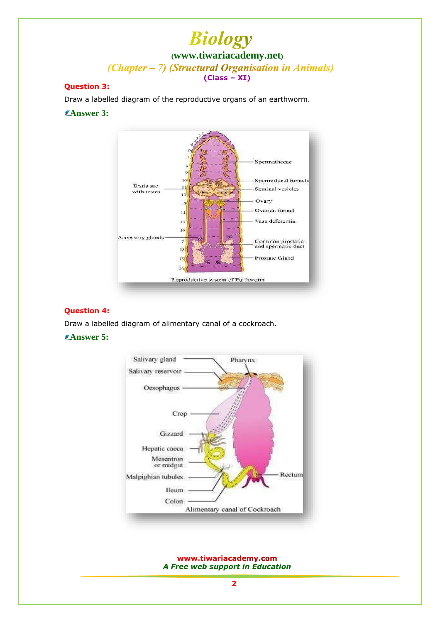### **Question 3:**

Draw a labelled diagram of the reproductive organs of an earthworm.

### **Answer 3:**



#### **Question 4:**

Draw a labelled diagram of alimentary canal of a cockroach.

## **Answer 5:**

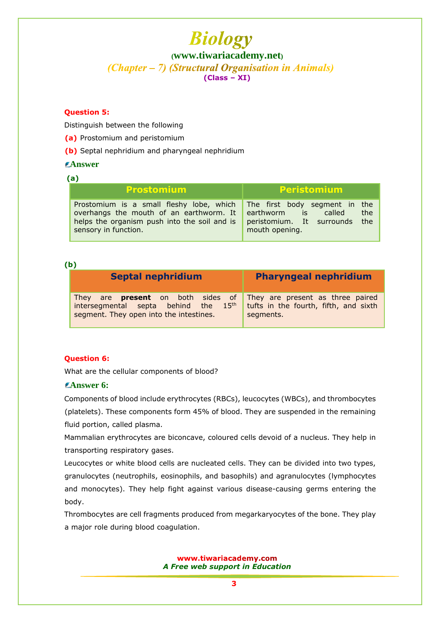### **Question 5:**

Distinguish between the following

- **(a)** Prostomium and peristomium
- **(b)** Septal nephridium and pharyngeal nephridium

### **Answer**

| <b>Prostomium</b>                                                                                                                                           | <b>Peristomium</b>                                                                                                 |
|-------------------------------------------------------------------------------------------------------------------------------------------------------------|--------------------------------------------------------------------------------------------------------------------|
| Prostomium is a small fleshy lobe, which<br>overhangs the mouth of an earthworm. It<br>helps the organism push into the soil and is<br>sensory in function. | The first body segment in the<br>the.<br>earthworm is<br>called<br>peristomium. It surrounds the<br>mouth opening. |

# **(b)**

| <b>Septal nephridium</b>                                                                                                                                                 | <b>Pharyngeal nephridium</b>                       |
|--------------------------------------------------------------------------------------------------------------------------------------------------------------------------|----------------------------------------------------|
| They are <b>present</b> on both sides of They are present as three paired<br>intersegmental septa behind the 15 <sup>th</sup><br>segment. They open into the intestines. | tufts in the fourth, fifth, and sixth<br>segments. |

### **Question 6:**

What are the cellular components of blood?

# **Answer 6:**

Components of blood include erythrocytes (RBCs), leucocytes (WBCs), and thrombocytes (platelets). These components form 45% of blood. They are suspended in the remaining fluid portion, called plasma.

Mammalian erythrocytes are biconcave, coloured cells devoid of a nucleus. They help in transporting respiratory gases.

Leucocytes or white blood cells are nucleated cells. They can be divided into two types, granulocytes (neutrophils, eosinophils, and basophils) and agranulocytes (lymphocytes and monocytes). They help fight against various disease-causing germs entering the body.

Thrombocytes are cell fragments produced from megarkaryocytes of the bone. They play a major role during blood coagulation.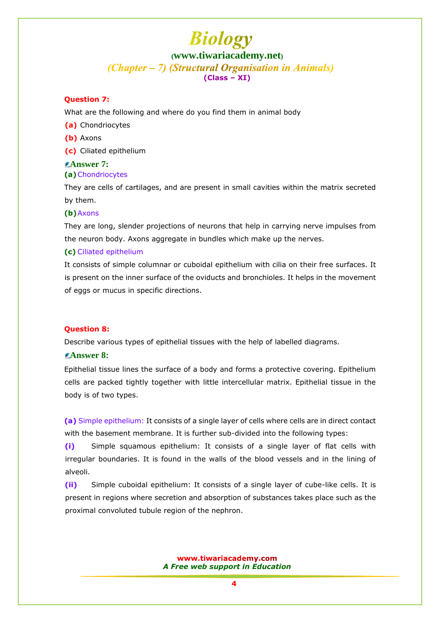#### **Question 7:**

What are the following and where do you find them in animal body

- **(a)** Chondriocytes
- **(b)** Axons

**(c)** Ciliated epithelium

#### **Answer 7: (a)**Chondriocytes

They are cells of cartilages, and are present in small cavities within the matrix secreted by them.

#### **(b)**Axons

They are long, slender projections of neurons that help in carrying nerve impulses from the neuron body. Axons aggregate in bundles which make up the nerves.

#### **(c)** Ciliated epithelium

It consists of simple columnar or cuboidal epithelium with cilia on their free surfaces. It is present on the inner surface of the oviducts and bronchioles. It helps in the movement of eggs or mucus in specific directions.

#### **Question 8:**

Describe various types of epithelial tissues with the help of labelled diagrams.

### **Answer 8:**

Epithelial tissue lines the surface of a body and forms a protective covering. Epithelium cells are packed tightly together with little intercellular matrix. Epithelial tissue in the body is of two types.

**(a)** Simple epithelium: It consists of a single layer of cells where cells are in direct contact with the basement membrane. It is further sub-divided into the following types:

**(i)** Simple squamous epithelium: It consists of a single layer of flat cells with irregular boundaries. It is found in the walls of the blood vessels and in the lining of alveoli.

**(ii)** Simple cuboidal epithelium: It consists of a single layer of cube-like cells. It is present in regions where secretion and absorption of substances takes place such as the proximal convoluted tubule region of the nephron.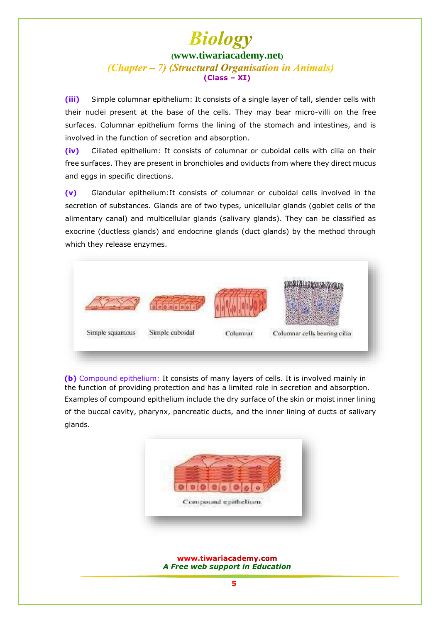**(iii)** Simple columnar epithelium: It consists of a single layer of tall, slender cells with their nuclei present at the base of the cells. They may bear micro-villi on the free surfaces. Columnar epithelium forms the lining of the stomach and intestines, and is involved in the function of secretion and absorption.

**(iv)** Ciliated epithelium: It consists of columnar or cuboidal cells with cilia on their free surfaces. They are present in bronchioles and oviducts from where they direct mucus and eggs in specific directions.

**(v)** Glandular epithelium:It consists of columnar or cuboidal cells involved in the secretion of substances. Glands are of two types, unicellular glands (goblet cells of the alimentary canal) and multicellular glands (salivary glands). They can be classified as exocrine (ductless glands) and endocrine glands (duct glands) by the method through which they release enzymes.



**(b)** Compound epithelium: It consists of many layers of cells. It is involved mainly in the function of providing protection and has a limited role in secretion and absorption. Examples of compound epithelium include the dry surface of the skin or moist inner lining of the buccal cavity, pharynx, pancreatic ducts, and the inner lining of ducts of salivary glands.

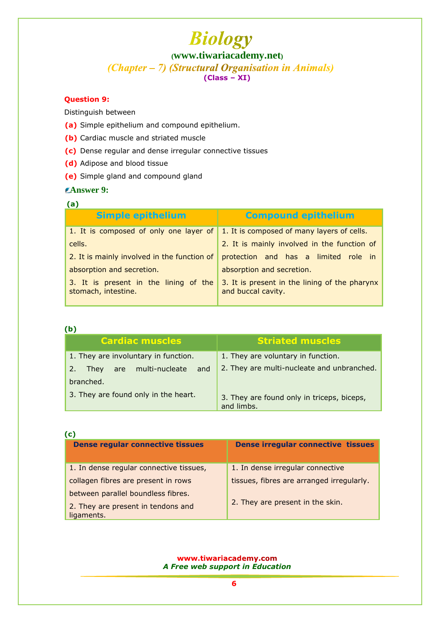# **Biology**

**([www.tiwariacademy.net](http://www.tiwariacademy.net/))**

(Chapter – 7) (Structural Organisation in Animals)

**(Class – XI)**

# **Question 9:**

Distinguish between

- **(a)** Simple epithelium and compound epithelium.
- **(b)** Cardiac muscle and striated muscle
- **(c)** Dense regular and dense irregular connective tissues
- **(d)** Adipose and blood tissue
- **(e)** Simple gland and compound gland

# **Answer 9:**

# **(a)**

| <b>Simple epithelium</b>                                     | <b>Compound epithelium</b>                                          |
|--------------------------------------------------------------|---------------------------------------------------------------------|
| 1. It is composed of only one layer of                       | 1. It is composed of many layers of cells.                          |
| cells.                                                       | 2. It is mainly involved in the function of                         |
| 2. It is mainly involved in the function of                  | protection and has a limited role in                                |
| absorption and secretion.                                    | absorption and secretion.                                           |
| 3. It is present in the lining of the<br>stomach, intestine. | 3. It is present in the lining of the pharynx<br>and buccal cavity. |

### **(b)**

| <b>Cardiac muscles</b>                      | <b>Striated muscles</b>                                  |
|---------------------------------------------|----------------------------------------------------------|
| 1. They are involuntary in function.        | 1. They are voluntary in function.                       |
| 2.<br>are multi-nucleate<br>They<br>and and | 2. They are multi-nucleate and unbranched.               |
| branched.                                   |                                                          |
| 3. They are found only in the heart.        | 3. They are found only in triceps, biceps,<br>and limbs. |

| (c)                                              |                                           |
|--------------------------------------------------|-------------------------------------------|
| <b>Dense regular connective tissues</b>          | <b>Dense irregular connective tissues</b> |
| 1. In dense regular connective tissues,          | 1. In dense irregular connective          |
|                                                  |                                           |
| collagen fibres are present in rows              | tissues, fibres are arranged irregularly. |
| between parallel boundless fibres.               |                                           |
| 2. They are present in tendons and<br>ligaments. | 2. They are present in the skin.          |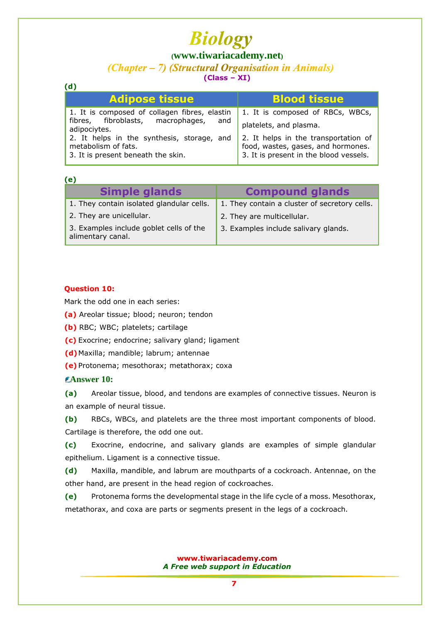# **Biology ([www.tiwariacademy.net](http://www.tiwariacademy.net/))**

# (Chapter – 7) (Structural Organisation in Animals)

**(Class – XI)**

| <b>Adipose tissue</b>                                                                                   | <b>Blood tissue</b>                                                                                                  |
|---------------------------------------------------------------------------------------------------------|----------------------------------------------------------------------------------------------------------------------|
| 1. It is composed of collagen fibres, elastin                                                           | 1. It is composed of RBCs, WBCs,                                                                                     |
| fibres, fibroblasts, macrophages, and<br>adipociytes.                                                   | platelets, and plasma.                                                                                               |
| 2. It helps in the synthesis, storage, and<br>metabolism of fats.<br>3. It is present beneath the skin. | 2. It helps in the transportation of<br>food, wastes, gases, and hormones.<br>3. It is present in the blood vessels. |

### **(e)**

**(d)**

| <b>Simple glands</b>                                         | <b>Compound glands</b>                        |
|--------------------------------------------------------------|-----------------------------------------------|
| 1. They contain isolated glandular cells.                    | 1. They contain a cluster of secretory cells. |
| 2. They are unicellular.                                     | 2. They are multicellular.                    |
| 3. Examples include goblet cells of the<br>alimentary canal. | 3. Examples include salivary glands.          |

### **Question 10:**

Mark the odd one in each series:

- **(a)** Areolar tissue; blood; neuron; tendon
- **(b)** RBC; WBC; platelets; cartilage
- **(c)** Exocrine; endocrine; salivary gland; ligament
- **(d)**Maxilla; mandible; labrum; antennae
- **(e)** Protonema; mesothorax; metathorax; coxa

### **Answer 10:**

**(a)** Areolar tissue, blood, and tendons are examples of connective tissues. Neuron is an example of neural tissue.

**(b)** RBCs, WBCs, and platelets are the three most important components of blood. Cartilage is therefore, the odd one out.

**(c)** Exocrine, endocrine, and salivary glands are examples of simple glandular epithelium. Ligament is a connective tissue.

**(d)** Maxilla, mandible, and labrum are mouthparts of a cockroach. Antennae, on the other hand, are present in the head region of cockroaches.

**(e)** Protonema forms the developmental stage in the life cycle of a moss. Mesothorax, metathorax, and coxa are parts or segments present in the legs of a cockroach.

> www.tiwariacademy.com *A Free web support in Education*

> > **7**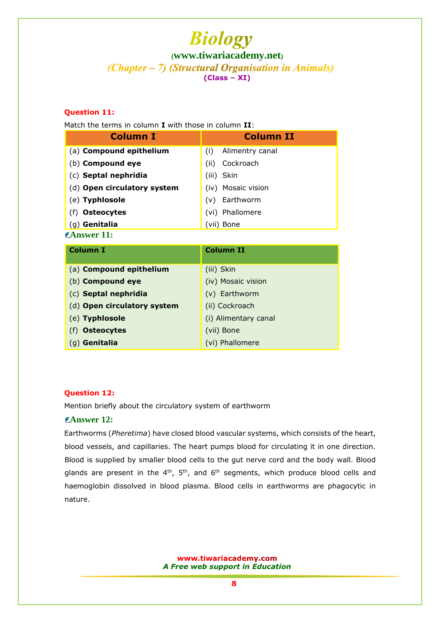# **Question 11:**

Match the terms in column **I** with those in column **II**:

| <b>Column I</b>             | <b>Column II</b>       |
|-----------------------------|------------------------|
| (a) Compound epithelium     | Alimentry canal<br>(i) |
| (b) Compound eye            | Cockroach<br>(ii)      |
| (c) Septal nephridia        | (iii) Skin             |
| (d) Open circulatory system | (iv) Mosaic vision     |
| (e) Typhlosole              | Earthworm<br>(v)       |
| <b>Osteocytes</b>           | Phallomere<br>(VI)     |
| (g) Genitalia               | (vii) Bone             |
| $\epsilon$ Answer 11:       |                        |

| <b>Column I</b>             | <b>Column II</b>     |
|-----------------------------|----------------------|
|                             |                      |
| (a) Compound epithelium     | (iii) Skin           |
| (b) Compound eye            | (iv) Mosaic vision   |
| (c) Septal nephridia        | (v) Earthworm        |
| (d) Open circulatory system | (ii) Cockroach       |
| (e) Typhlosole              | (i) Alimentary canal |
| (f) <b>Osteocytes</b>       | (vii) Bone           |
| (g) <b>Genitalia</b>        | (vi) Phallomere      |

### **Question 12:**

Mention briefly about the circulatory system of earthworm

# **Answer 12:**

Earthworms (*Pheretima*) have closed blood vascular systems, which consists of the heart, blood vessels, and capillaries. The heart pumps blood for circulating it in one direction. Blood is supplied by smaller blood cells to the gut nerve cord and the body wall. Blood glands are present in the  $4<sup>th</sup>$ ,  $5<sup>th</sup>$ , and  $6<sup>th</sup>$  segments, which produce blood cells and haemoglobin dissolved in blood plasma. Blood cells in earthworms are phagocytic in nature.